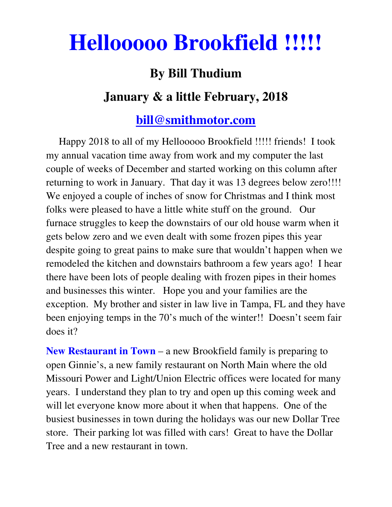## **Hellooooo Brookfield !!!!!**

## **By Bill Thudium**

## **January & a little February, 2018**

## **bill@smithmotor.com**

 Happy 2018 to all of my Hellooooo Brookfield !!!!! friends! I took my annual vacation time away from work and my computer the last couple of weeks of December and started working on this column after returning to work in January. That day it was 13 degrees below zero!!!! We enjoyed a couple of inches of snow for Christmas and I think most folks were pleased to have a little white stuff on the ground. Our furnace struggles to keep the downstairs of our old house warm when it gets below zero and we even dealt with some frozen pipes this year despite going to great pains to make sure that wouldn't happen when we remodeled the kitchen and downstairs bathroom a few years ago! I hear there have been lots of people dealing with frozen pipes in their homes and businesses this winter. Hope you and your families are the exception. My brother and sister in law live in Tampa, FL and they have been enjoying temps in the 70's much of the winter!! Doesn't seem fair does it?

**New Restaurant in Town** – a new Brookfield family is preparing to open Ginnie's, a new family restaurant on North Main where the old Missouri Power and Light/Union Electric offices were located for many years. I understand they plan to try and open up this coming week and will let everyone know more about it when that happens. One of the busiest businesses in town during the holidays was our new Dollar Tree store. Their parking lot was filled with cars! Great to have the Dollar Tree and a new restaurant in town.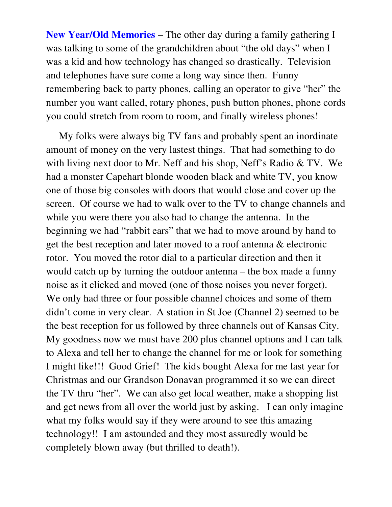**New Year/Old Memories** – The other day during a family gathering I was talking to some of the grandchildren about "the old days" when I was a kid and how technology has changed so drastically. Television and telephones have sure come a long way since then. Funny remembering back to party phones, calling an operator to give "her" the number you want called, rotary phones, push button phones, phone cords you could stretch from room to room, and finally wireless phones!

 My folks were always big TV fans and probably spent an inordinate amount of money on the very lastest things. That had something to do with living next door to Mr. Neff and his shop, Neff's Radio & TV. We had a monster Capehart blonde wooden black and white TV, you know one of those big consoles with doors that would close and cover up the screen. Of course we had to walk over to the TV to change channels and while you were there you also had to change the antenna. In the beginning we had "rabbit ears" that we had to move around by hand to get the best reception and later moved to a roof antenna & electronic rotor. You moved the rotor dial to a particular direction and then it would catch up by turning the outdoor antenna – the box made a funny noise as it clicked and moved (one of those noises you never forget). We only had three or four possible channel choices and some of them didn't come in very clear. A station in St Joe (Channel 2) seemed to be the best reception for us followed by three channels out of Kansas City. My goodness now we must have 200 plus channel options and I can talk to Alexa and tell her to change the channel for me or look for something I might like!!! Good Grief! The kids bought Alexa for me last year for Christmas and our Grandson Donavan programmed it so we can direct the TV thru "her". We can also get local weather, make a shopping list and get news from all over the world just by asking. I can only imagine what my folks would say if they were around to see this amazing technology!! I am astounded and they most assuredly would be completely blown away (but thrilled to death!).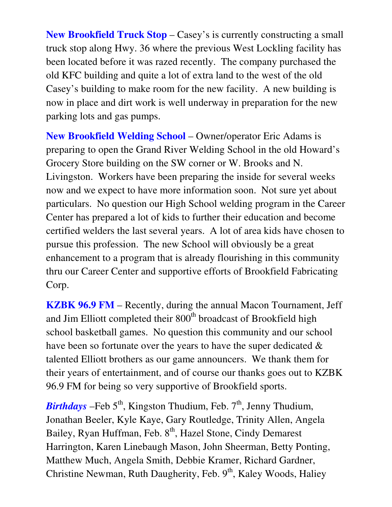**New Brookfield Truck Stop** – Casey's is currently constructing a small truck stop along Hwy. 36 where the previous West Lockling facility has been located before it was razed recently. The company purchased the old KFC building and quite a lot of extra land to the west of the old Casey's building to make room for the new facility. A new building is now in place and dirt work is well underway in preparation for the new parking lots and gas pumps.

**New Brookfield Welding School** – Owner/operator Eric Adams is preparing to open the Grand River Welding School in the old Howard's Grocery Store building on the SW corner or W. Brooks and N. Livingston. Workers have been preparing the inside for several weeks now and we expect to have more information soon. Not sure yet about particulars. No question our High School welding program in the Career Center has prepared a lot of kids to further their education and become certified welders the last several years. A lot of area kids have chosen to pursue this profession. The new School will obviously be a great enhancement to a program that is already flourishing in this community thru our Career Center and supportive efforts of Brookfield Fabricating Corp.

**KZBK 96.9 FM** – Recently, during the annual Macon Tournament, Jeff and Jim Elliott completed their 800<sup>th</sup> broadcast of Brookfield high school basketball games. No question this community and our school have been so fortunate over the years to have the super dedicated  $\&$ talented Elliott brothers as our game announcers. We thank them for their years of entertainment, and of course our thanks goes out to KZBK 96.9 FM for being so very supportive of Brookfield sports.

*Birthdays* –Feb 5<sup>th</sup>, Kingston Thudium, Feb. 7<sup>th</sup>, Jenny Thudium, Jonathan Beeler, Kyle Kaye, Gary Routledge, Trinity Allen, Angela Bailey, Ryan Huffman, Feb. 8<sup>th</sup>, Hazel Stone, Cindy Demarest Harrington, Karen Linebaugh Mason, John Sheerman, Betty Ponting, Matthew Much, Angela Smith, Debbie Kramer, Richard Gardner, Christine Newman, Ruth Daugherity, Feb. 9<sup>th</sup>, Kaley Woods, Haliey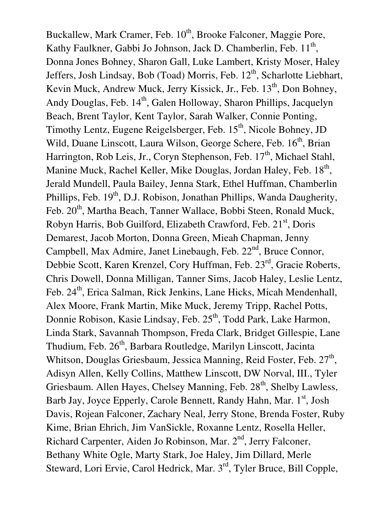Buckallew, Mark Cramer, Feb. 10<sup>th</sup>, Brooke Falconer, Maggie Pore, Kathy Faulkner, Gabbi Jo Johnson, Jack D. Chamberlin, Feb. 11<sup>th</sup>, Donna Jones Bohney, Sharon Gall, Luke Lambert, Kristy Moser, Haley Jeffers, Josh Lindsay, Bob (Toad) Morris, Feb. 12<sup>th</sup>, Scharlotte Liebhart, Kevin Muck, Andrew Muck, Jerry Kissick, Jr., Feb. 13<sup>th</sup>, Don Bohney, Andy Douglas, Feb. 14<sup>th</sup>, Galen Holloway, Sharon Phillips, Jacquelyn Beach, Brent Taylor, Kent Taylor, Sarah Walker, Connie Ponting, Timothy Lentz, Eugene Reigelsberger, Feb. 15<sup>th</sup>, Nicole Bohney, JD Wild, Duane Linscott, Laura Wilson, George Schere, Feb. 16<sup>th</sup>, Brian Harrington, Rob Leis, Jr., Coryn Stephenson, Feb. 17<sup>th</sup>, Michael Stahl, Manine Muck, Rachel Keller, Mike Douglas, Jordan Haley, Feb. 18<sup>th</sup>, Jerald Mundell, Paula Bailey, Jenna Stark, Ethel Huffman, Chamberlin Phillips, Feb. 19<sup>th</sup>, D.J. Robison, Jonathan Phillips, Wanda Daugherity, Feb. 20<sup>th</sup>, Martha Beach, Tanner Wallace, Bobbi Steen, Ronald Muck, Robyn Harris, Bob Guilford, Elizabeth Crawford, Feb. 21<sup>st</sup>, Doris Demarest, Jacob Morton, Donna Green, Mieah Chapman, Jenny Campbell, Max Admire, Janet Linebaugh, Feb. 22<sup>nd</sup>, Bruce Connor, Debbie Scott, Karen Krenzel, Cory Huffman, Feb. 23<sup>rd</sup>, Gracie Roberts, Chris Dowell, Donna Milligan, Tanner Sims, Jacob Haley, Leslie Lentz, Feb. 24<sup>th</sup>, Erica Salman, Rick Jenkins, Lane Hicks, Micah Mendenhall, Alex Moore, Frank Martin, Mike Muck, Jeremy Tripp, Rachel Potts, Donnie Robison, Kasie Lindsay, Feb. 25<sup>th</sup>, Todd Park, Lake Harmon, Linda Stark, Savannah Thompson, Freda Clark, Bridget Gillespie, Lane Thudium, Feb. 26<sup>th</sup>, Barbara Routledge, Marilyn Linscott, Jacinta Whitson, Douglas Griesbaum, Jessica Manning, Reid Foster, Feb. 27<sup>th</sup>, Adisyn Allen, Kelly Collins, Matthew Linscott, DW Norval, III., Tyler Griesbaum. Allen Hayes, Chelsey Manning, Feb. 28<sup>th</sup>, Shelby Lawless, Barb Jay, Joyce Epperly, Carole Bennett, Randy Hahn, Mar. 1<sup>st</sup>, Josh Davis, Rojean Falconer, Zachary Neal, Jerry Stone, Brenda Foster, Ruby Kime, Brian Ehrich, Jim VanSickle, Roxanne Lentz, Rosella Heller, Richard Carpenter, Aiden Jo Robinson, Mar.  $2<sup>nd</sup>$ , Jerry Falconer, Bethany White Ogle, Marty Stark, Joe Haley, Jim Dillard, Merle Steward, Lori Ervie, Carol Hedrick, Mar. 3rd, Tyler Bruce, Bill Copple,